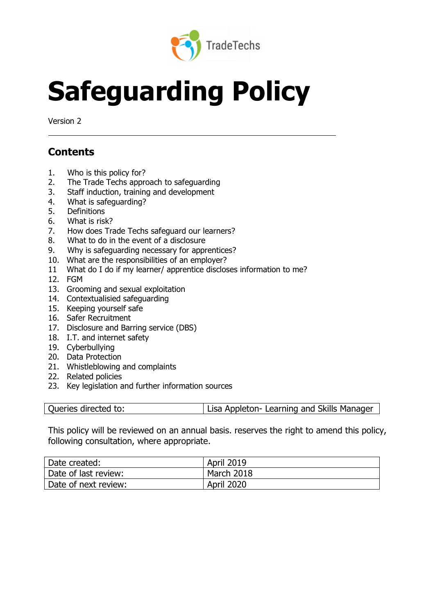

# **Safeguarding Policy**

Version 2

# **Contents**

- 1. Who is this policy for?
- 2. The Trade Techs approach to safeguarding
- 3. Staff induction, training and development
- 4. What is safeguarding?
- 5. Definitions
- 6. What is risk?
- 7. How does Trade Techs safeguard our learners?
- 8. What to do in the event of a disclosure
- 9. Why is safeguarding necessary for apprentices?
- 10. What are the responsibilities of an employer?
- 11 What do I do if my learner/ apprentice discloses information to me?
- 12. FGM
- 13. Grooming and sexual exploitation
- 14. Contextualisied safeguarding
- 15. Keeping yourself safe
- 16. Safer Recruitment
- 17. Disclosure and Barring service (DBS)
- 18. I.T. and internet safety
- 19. Cyberbullying
- 20. Data Protection
- 21. Whistleblowing and complaints
- 22. Related policies
- 23. Key legislation and further information sources

This policy will be reviewed on an annual basis. reserves the right to amend this policy, following consultation, where appropriate.

| Date created:        | <b>April 2019</b> |
|----------------------|-------------------|
| Date of last review: | March 2018        |
| Date of next review: | <b>April 2020</b> |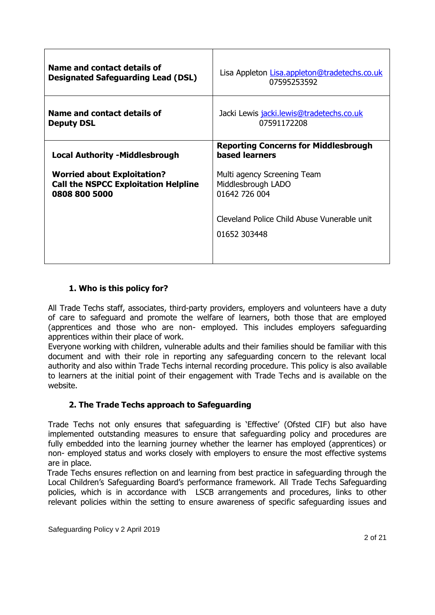| Name and contact details of                 | Lisa Appleton Lisa.appleton@tradetechs.co.uk                         |
|---------------------------------------------|----------------------------------------------------------------------|
| <b>Designated Safeguarding Lead (DSL)</b>   | 07595253592                                                          |
| Name and contact details of                 | Jacki Lewis jacki.lewis@tradetechs.co.uk                             |
| <b>Deputy DSL</b>                           | 07591172208                                                          |
| <b>Local Authority -Middlesbrough</b>       | <b>Reporting Concerns for Middlesbrough</b><br><b>based learners</b> |
| <b>Worried about Exploitation?</b>          | Multi agency Screening Team                                          |
| <b>Call the NSPCC Exploitation Helpline</b> | Middlesbrough LADO                                                   |
| 0808 800 5000                               | 01642 726 004                                                        |
|                                             | Cleveland Police Child Abuse Vunerable unit<br>01652 303448          |

# **1. Who is this policy for?**

All Trade Techs staff, associates, third-party providers, employers and volunteers have a duty of care to safeguard and promote the welfare of learners, both those that are employed (apprentices and those who are non- employed. This includes employers safeguarding apprentices within their place of work.

Everyone working with children, vulnerable adults and their families should be familiar with this document and with their role in reporting any safeguarding concern to the relevant local authority and also within Trade Techs internal recording procedure. This policy is also available to learners at the initial point of their engagement with Trade Techs and is available on the website.

# **2. The Trade Techs approach to Safeguarding**

Trade Techs not only ensures that safeguarding is 'Effective' (Ofsted CIF) but also have implemented outstanding measures to ensure that safeguarding policy and procedures are fully embedded into the learning journey whether the learner has employed (apprentices) or non- employed status and works closely with employers to ensure the most effective systems are in place.

 Trade Techs ensures reflection on and learning from best practice in safeguarding through the Local Children's Safeguarding Board's performance framework. All Trade Techs Safeguarding policies, which is in accordance with LSCB arrangements and procedures, links to other relevant policies within the setting to ensure awareness of specific safeguarding issues and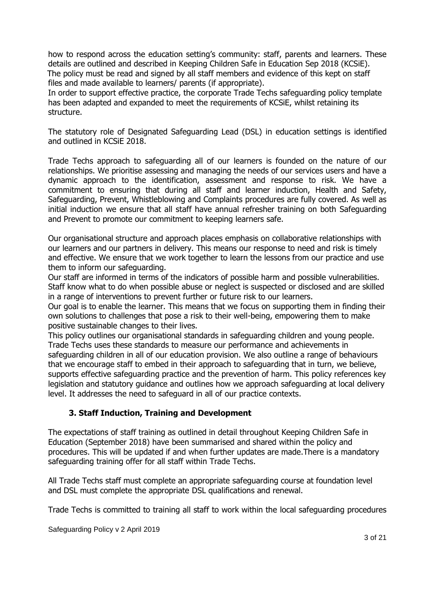how to respond across the education setting's community: staff, parents and learners. These details are outlined and described in Keeping Children Safe in Education Sep 2018 (KCSiE). The policy must be read and signed by all staff members and evidence of this kept on staff files and made available to learners/ parents (if appropriate).

In order to support effective practice, the corporate Trade Techs safeguarding policy template has been adapted and expanded to meet the requirements of KCSiE, whilst retaining its structure.

The statutory role of Designated Safeguarding Lead (DSL) in education settings is identified and outlined in KCSiE 2018.

Trade Techs approach to safeguarding all of our learners is founded on the nature of our relationships. We prioritise assessing and managing the needs of our services users and have a dynamic approach to the identification, assessment and response to risk. We have a commitment to ensuring that during all staff and learner induction, Health and Safety, Safeguarding, Prevent, Whistleblowing and Complaints procedures are fully covered. As well as initial induction we ensure that all staff have annual refresher training on both Safeguarding and Prevent to promote our commitment to keeping learners safe.

Our organisational structure and approach places emphasis on collaborative relationships with our learners and our partners in delivery. This means our response to need and risk is timely and effective. We ensure that we work together to learn the lessons from our practice and use them to inform our safeguarding.

Our staff are informed in terms of the indicators of possible harm and possible vulnerabilities. Staff know what to do when possible abuse or neglect is suspected or disclosed and are skilled in a range of interventions to prevent further or future risk to our learners.

Our goal is to enable the learner. This means that we focus on supporting them in finding their own solutions to challenges that pose a risk to their well-being, empowering them to make positive sustainable changes to their lives.

This policy outlines our organisational standards in safeguarding children and young people. Trade Techs uses these standards to measure our performance and achievements in safeguarding children in all of our education provision. We also outline a range of behaviours that we encourage staff to embed in their approach to safeguarding that in turn, we believe, supports effective safeguarding practice and the prevention of harm. This policy references key legislation and statutory guidance and outlines how we approach safeguarding at local delivery level. It addresses the need to safeguard in all of our practice contexts.

# **3. Staff Induction, Training and Development**

The expectations of staff training as outlined in detail throughout Keeping Children Safe in Education (September 2018) have been summarised and shared within the policy and procedures. This will be updated if and when further updates are made.There is a mandatory safeguarding training offer for all staff within Trade Techs.

All Trade Techs staff must complete an appropriate safeguarding course at foundation level and DSL must complete the appropriate DSL qualifications and renewal.

Trade Techs is committed to training all staff to work within the local safeguarding procedures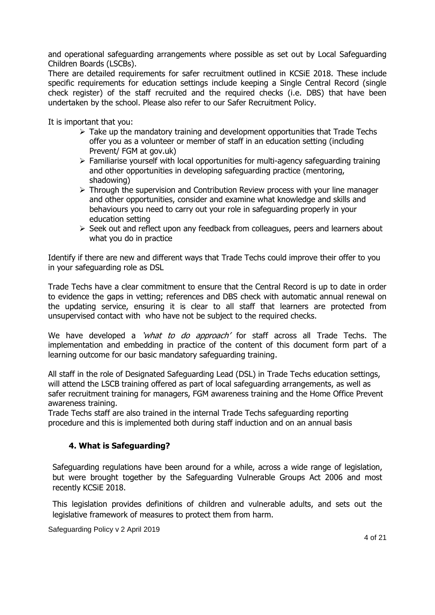and operational safeguarding arrangements where possible as set out by Local Safeguarding Children Boards (LSCBs).

There are detailed requirements for safer recruitment outlined in KCSiE 2018. These include specific requirements for education settings include keeping a Single Central Record (single check register) of the staff recruited and the required checks (i.e. DBS) that have been undertaken by the school. Please also refer to our Safer Recruitment Policy.

It is important that you:

- $\triangleright$  Take up the mandatory training and development opportunities that Trade Techs offer you as a volunteer or member of staff in an education setting (including Prevent/ FGM at gov.uk)
- ➢ Familiarise yourself with local opportunities for multi-agency safeguarding training and other opportunities in developing safeguarding practice (mentoring, shadowing)
- $\triangleright$  Through the supervision and Contribution Review process with your line manager and other opportunities, consider and examine what knowledge and skills and behaviours you need to carry out your role in safeguarding properly in your education setting
- ➢ Seek out and reflect upon any feedback from colleagues, peers and learners about what you do in practice

Identify if there are new and different ways that Trade Techs could improve their offer to you in your safeguarding role as DSL

Trade Techs have a clear commitment to ensure that the Central Record is up to date in order to evidence the gaps in vetting; references and DBS check with automatic annual renewal on the updating service, ensuring it is clear to all staff that learners are protected from unsupervised contact with who have not be subject to the required checks.

We have developed a 'what to do approach' for staff across all Trade Techs. The implementation and embedding in practice of the content of this document form part of a learning outcome for our basic mandatory safeguarding training.

All staff in the role of Designated Safeguarding Lead (DSL) in Trade Techs education settings, will attend the LSCB training offered as part of local safeguarding arrangements, as well as safer recruitment training for managers, FGM awareness training and the Home Office Prevent awareness training.

Trade Techs staff are also trained in the internal Trade Techs safeguarding reporting procedure and this is implemented both during staff induction and on an annual basis

# **4. What is Safeguarding?**

Safeguarding regulations have been around for a while, across a wide range of legislation, but were brought together by the Safeguarding Vulnerable Groups Act 2006 and most recently KCSiE 2018.

This legislation provides definitions of children and vulnerable adults, and sets out the legislative framework of measures to protect them from harm.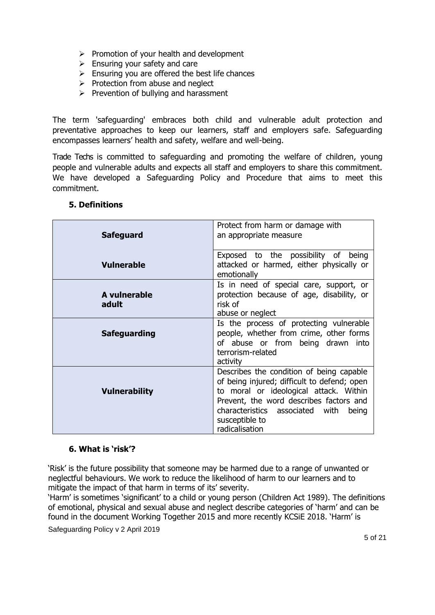- ➢ Promotion of your health and development
- $\triangleright$  Ensuring your safety and care
- $\triangleright$  Ensuring you are offered the best life chances
- $\triangleright$  Protection from abuse and neglect
- $\triangleright$  Prevention of bullying and harassment

The term 'safeguarding' embraces both child and vulnerable adult protection and preventative approaches to keep our learners, staff and employers safe. Safeguarding encompasses learners' health and safety, welfare and well-being.

Trade Techs is committed to safeguarding and promoting the welfare of children, young people and vulnerable adults and expects all staff and employers to share this commitment. We have developed a Safeguarding Policy and Procedure that aims to meet this commitment.

| <b>Safeguard</b>      | Protect from harm or damage with<br>an appropriate measure                                                                                                                                                                                                   |
|-----------------------|--------------------------------------------------------------------------------------------------------------------------------------------------------------------------------------------------------------------------------------------------------------|
| <b>Vulnerable</b>     | Exposed to the possibility of being<br>attacked or harmed, either physically or<br>emotionally                                                                                                                                                               |
| A vulnerable<br>adult | Is in need of special care, support, or<br>protection because of age, disability, or<br>risk of<br>abuse or neglect                                                                                                                                          |
| <b>Safeguarding</b>   | Is the process of protecting vulnerable<br>people, whether from crime, other forms<br>of abuse or from being drawn into<br>terrorism-related<br>activity                                                                                                     |
| <b>Vulnerability</b>  | Describes the condition of being capable<br>of being injured; difficult to defend; open<br>to moral or ideological attack. Within<br>Prevent, the word describes factors and<br>characteristics associated with<br>being<br>susceptible to<br>radicalisation |

# **5. Definitions**

# **6. What is 'risk'?**

'Risk' is the future possibility that someone may be harmed due to a range of unwanted or neglectful behaviours. We work to reduce the likelihood of harm to our learners and to mitigate the impact of that harm in terms of its' severity.

'Harm' is sometimes 'significant' to a child or young person (Children Act 1989). The definitions of emotional, physical and sexual abuse and neglect describe categories of 'harm' and can be found in the document Working Together 2015 and more recently KCSiE 2018. 'Harm' is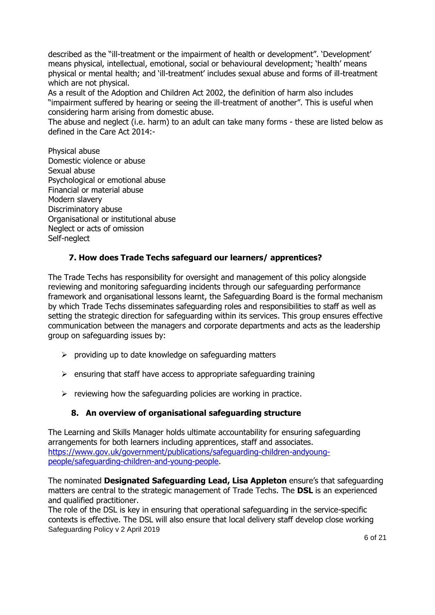described as the "ill-treatment or the impairment of health or development". 'Development' means physical, intellectual, emotional, social or behavioural development; 'health' means physical or mental health; and 'ill-treatment' includes sexual abuse and forms of ill-treatment which are not physical.

As a result of the Adoption and Children Act 2002, the definition of harm also includes "impairment suffered by hearing or seeing the ill-treatment of another". This is useful when considering harm arising from domestic abuse.

The abuse and neglect (i.e. harm) to an adult can take many forms - these are listed below as defined in the Care Act 2014:-

Physical abuse Domestic violence or abuse Sexual abuse Psychological or emotional abuse Financial or material abuse Modern slavery Discriminatory abuse Organisational or institutional abuse Neglect or acts of omission Self-neglect

# **7. How does Trade Techs safeguard our learners/ apprentices?**

The Trade Techs has responsibility for oversight and management of this policy alongside reviewing and monitoring safeguarding incidents through our safeguarding performance framework and organisational lessons learnt, the Safeguarding Board is the formal mechanism by which Trade Techs disseminates safeguarding roles and responsibilities to staff as well as setting the strategic direction for safeguarding within its services. This group ensures effective communication between the managers and corporate departments and acts as the leadership group on safeguarding issues by:

- $\triangleright$  providing up to date knowledge on safeguarding matters
- $\triangleright$  ensuring that staff have access to appropriate safeguarding training
- $\triangleright$  reviewing how the safeguarding policies are working in practice.

# **8. An overview of organisational safeguarding structure**

The Learning and Skills Manager holds ultimate accountability for ensuring safeguarding arrangements for both learners including apprentices, staff and associates. [https://www.gov.uk/government/publications/safeguarding-children-andyoung](https://www.gov.uk/government/publications/safeguarding-children-andyoung-people/safeguarding-children-and-young-people)[people/safeguarding-children-and-young-people.](https://www.gov.uk/government/publications/safeguarding-children-andyoung-people/safeguarding-children-and-young-people)

The nominated **Designated Safeguarding Lead, Lisa Appleton** ensure's that safeguarding matters are central to the strategic management of Trade Techs. The **DSL** is an experienced and qualified practitioner.

Safeguarding Policy v 2 April 2019 The role of the DSL is key in ensuring that operational safeguarding in the service-specific contexts is effective. The DSL will also ensure that local delivery staff develop close working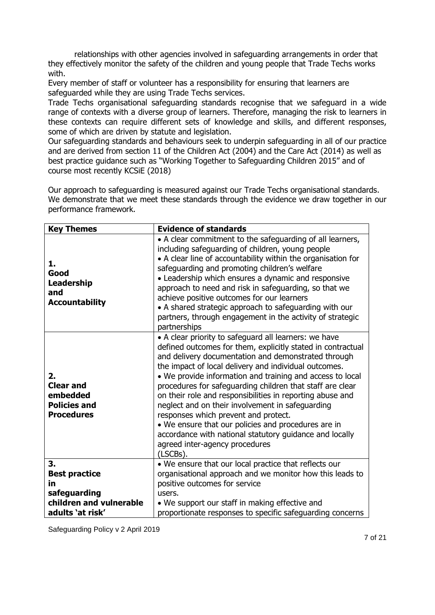relationships with other agencies involved in safeguarding arrangements in order that they effectively monitor the safety of the children and young people that Trade Techs works with.

Every member of staff or volunteer has a responsibility for ensuring that learners are safeguarded while they are using Trade Techs services.

Trade Techs organisational safeguarding standards recognise that we safeguard in a wide range of contexts with a diverse group of learners. Therefore, managing the risk to learners in these contexts can require different sets of knowledge and skills, and different responses, some of which are driven by statute and legislation.

Our safeguarding standards and behaviours seek to underpin safeguarding in all of our practice and are derived from section 11 of the Children Act (2004) and the Care Act (2014) as well as best practice guidance such as "Working Together to Safeguarding Children 2015" and of course most recently KCSiE (2018)

Our approach to safeguarding is measured against our Trade Techs organisational standards. We demonstrate that we meet these standards through the evidence we draw together in our performance framework.

| <b>Key Themes</b>                                                              | <b>Evidence of standards</b>                                                                                                                                                                                                                                                                                                                                                                                                                                                                                                                                                                                                                                                            |
|--------------------------------------------------------------------------------|-----------------------------------------------------------------------------------------------------------------------------------------------------------------------------------------------------------------------------------------------------------------------------------------------------------------------------------------------------------------------------------------------------------------------------------------------------------------------------------------------------------------------------------------------------------------------------------------------------------------------------------------------------------------------------------------|
| 1.<br>Good<br><b>Leadership</b><br>and<br><b>Accountability</b>                | • A clear commitment to the safeguarding of all learners,<br>including safeguarding of children, young people<br>• A clear line of accountability within the organisation for<br>safeguarding and promoting children's welfare<br>• Leadership which ensures a dynamic and responsive<br>approach to need and risk in safeguarding, so that we<br>achieve positive outcomes for our learners<br>• A shared strategic approach to safeguarding with our<br>partners, through engagement in the activity of strategic<br>partnerships                                                                                                                                                     |
| 2.<br><b>Clear and</b><br>embedded<br><b>Policies and</b><br><b>Procedures</b> | • A clear priority to safeguard all learners: we have<br>defined outcomes for them, explicitly stated in contractual<br>and delivery documentation and demonstrated through<br>the impact of local delivery and individual outcomes.<br>. We provide information and training and access to local<br>procedures for safeguarding children that staff are clear<br>on their role and responsibilities in reporting abuse and<br>neglect and on their involvement in safeguarding<br>responses which prevent and protect.<br>• We ensure that our policies and procedures are in<br>accordance with national statutory guidance and locally<br>agreed inter-agency procedures<br>(LSCBs). |
| 3.<br><b>Best practice</b>                                                     | • We ensure that our local practice that reflects our<br>organisational approach and we monitor how this leads to                                                                                                                                                                                                                                                                                                                                                                                                                                                                                                                                                                       |
| in                                                                             | positive outcomes for service                                                                                                                                                                                                                                                                                                                                                                                                                                                                                                                                                                                                                                                           |
| safeguarding                                                                   | users.                                                                                                                                                                                                                                                                                                                                                                                                                                                                                                                                                                                                                                                                                  |
| children and vulnerable                                                        | • We support our staff in making effective and                                                                                                                                                                                                                                                                                                                                                                                                                                                                                                                                                                                                                                          |
| adults 'at risk'                                                               | proportionate responses to specific safeguarding concerns                                                                                                                                                                                                                                                                                                                                                                                                                                                                                                                                                                                                                               |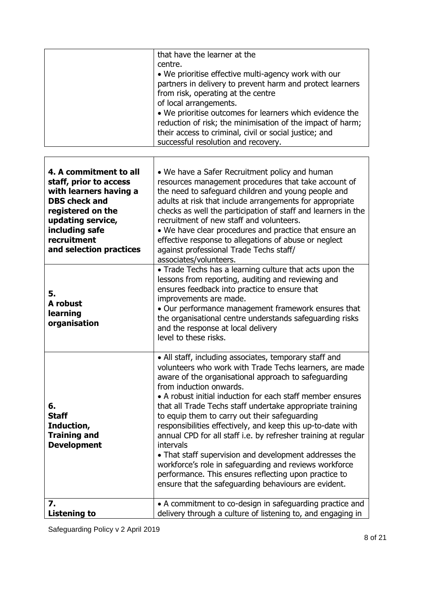|                                                                                                                                                                                                          | that have the learner at the<br>centre.<br>• We prioritise effective multi-agency work with our<br>partners in delivery to prevent harm and protect learners<br>from risk, operating at the centre<br>of local arrangements.<br>. We prioritise outcomes for learners which evidence the                                                                                                                                                                                                                                                                                                                                                                                                                                                                            |
|----------------------------------------------------------------------------------------------------------------------------------------------------------------------------------------------------------|---------------------------------------------------------------------------------------------------------------------------------------------------------------------------------------------------------------------------------------------------------------------------------------------------------------------------------------------------------------------------------------------------------------------------------------------------------------------------------------------------------------------------------------------------------------------------------------------------------------------------------------------------------------------------------------------------------------------------------------------------------------------|
|                                                                                                                                                                                                          | reduction of risk; the minimisation of the impact of harm;<br>their access to criminal, civil or social justice; and<br>successful resolution and recovery.                                                                                                                                                                                                                                                                                                                                                                                                                                                                                                                                                                                                         |
| 4. A commitment to all<br>staff, prior to access<br>with learners having a<br><b>DBS check and</b><br>registered on the<br>updating service,<br>including safe<br>recruitment<br>and selection practices | • We have a Safer Recruitment policy and human<br>resources management procedures that take account of<br>the need to safeguard children and young people and<br>adults at risk that include arrangements for appropriate<br>checks as well the participation of staff and learners in the<br>recruitment of new staff and volunteers.<br>• We have clear procedures and practice that ensure an<br>effective response to allegations of abuse or neglect<br>against professional Trade Techs staff/<br>associates/volunteers.                                                                                                                                                                                                                                      |
| 5.<br>A robust<br>learning<br>organisation                                                                                                                                                               | • Trade Techs has a learning culture that acts upon the<br>lessons from reporting, auditing and reviewing and<br>ensures feedback into practice to ensure that<br>improvements are made.<br>• Our performance management framework ensures that<br>the organisational centre understands safeguarding risks<br>and the response at local delivery<br>level to these risks.                                                                                                                                                                                                                                                                                                                                                                                          |
| 6.<br><b>Staff</b><br>Induction,<br><b>Training and</b><br><b>Development</b>                                                                                                                            | • All staff, including associates, temporary staff and<br>volunteers who work with Trade Techs learners, are made<br>aware of the organisational approach to safeguarding<br>from induction onwards.<br>• A robust initial induction for each staff member ensures<br>that all Trade Techs staff undertake appropriate training<br>to equip them to carry out their safeguarding<br>responsibilities effectively, and keep this up-to-date with<br>annual CPD for all staff i.e. by refresher training at regular<br>intervals<br>• That staff supervision and development addresses the<br>workforce's role in safeguarding and reviews workforce<br>performance. This ensures reflecting upon practice to<br>ensure that the safeguarding behaviours are evident. |
| 7.<br><b>Listening to</b>                                                                                                                                                                                | • A commitment to co-design in safeguarding practice and<br>delivery through a culture of listening to, and engaging in                                                                                                                                                                                                                                                                                                                                                                                                                                                                                                                                                                                                                                             |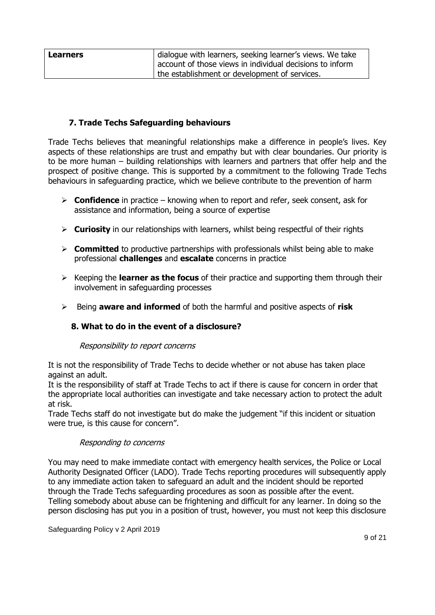| <b>Learners</b> | dialogue with learners, seeking learner's views. We take   |
|-----------------|------------------------------------------------------------|
|                 | I account of those views in individual decisions to inform |
|                 | the establishment or development of services.              |

# **7. Trade Techs Safeguarding behaviours**

Trade Techs believes that meaningful relationships make a difference in people's lives. Key aspects of these relationships are trust and empathy but with clear boundaries. Our priority is to be more human – building relationships with learners and partners that offer help and the prospect of positive change. This is supported by a commitment to the following Trade Techs behaviours in safeguarding practice, which we believe contribute to the prevention of harm

- ➢ **Confidence** in practice knowing when to report and refer, seek consent, ask for assistance and information, being a source of expertise
- ➢ **Curiosity** in our relationships with learners, whilst being respectful of their rights
- ➢ **Committed** to productive partnerships with professionals whilst being able to make professional **challenges** and **escalate** concerns in practice
- ➢ Keeping the **learner as the focus** of their practice and supporting them through their involvement in safeguarding processes
- ➢ Being **aware and informed** of both the harmful and positive aspects of **risk**

# **8. What to do in the event of a disclosure?**

## Responsibility to report concerns

It is not the responsibility of Trade Techs to decide whether or not abuse has taken place against an adult.

It is the responsibility of staff at Trade Techs to act if there is cause for concern in order that the appropriate local authorities can investigate and take necessary action to protect the adult at risk.

Trade Techs staff do not investigate but do make the judgement "if this incident or situation were true, is this cause for concern".

## Responding to concerns

You may need to make immediate contact with emergency health services, the Police or Local Authority Designated Officer (LADO). Trade Techs reporting procedures will subsequently apply to any immediate action taken to safeguard an adult and the incident should be reported through the Trade Techs safeguarding procedures as soon as possible after the event. Telling somebody about abuse can be frightening and difficult for any learner. In doing so the person disclosing has put you in a position of trust, however, you must not keep this disclosure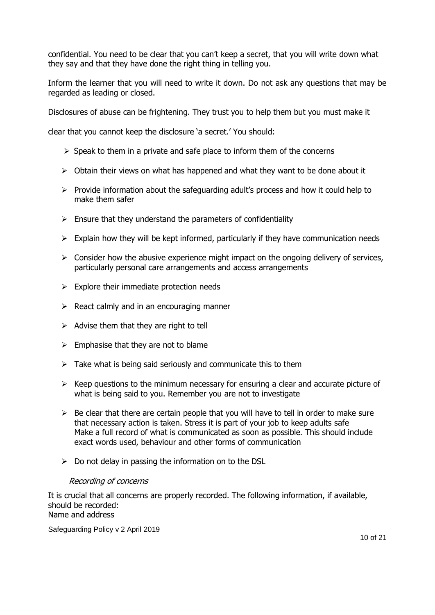confidential. You need to be clear that you can't keep a secret, that you will write down what they say and that they have done the right thing in telling you.

Inform the learner that you will need to write it down. Do not ask any questions that may be regarded as leading or closed.

Disclosures of abuse can be frightening. They trust you to help them but you must make it

clear that you cannot keep the disclosure 'a secret.' You should:

- $\triangleright$  Speak to them in a private and safe place to inform them of the concerns
- $\triangleright$  Obtain their views on what has happened and what they want to be done about it
- $\triangleright$  Provide information about the safeguarding adult's process and how it could help to make them safer
- $\triangleright$  Ensure that they understand the parameters of confidentiality
- $\triangleright$  Explain how they will be kept informed, particularly if they have communication needs
- $\triangleright$  Consider how the abusive experience might impact on the ongoing delivery of services, particularly personal care arrangements and access arrangements
- $\triangleright$  Explore their immediate protection needs
- $\triangleright$  React calmly and in an encouraging manner
- $\triangleright$  Advise them that they are right to tell
- $\triangleright$  Emphasise that they are not to blame
- $\triangleright$  Take what is being said seriously and communicate this to them
- $\triangleright$  Keep questions to the minimum necessary for ensuring a clear and accurate picture of what is being said to you. Remember you are not to investigate
- $\triangleright$  Be clear that there are certain people that you will have to tell in order to make sure that necessary action is taken. Stress it is part of your job to keep adults safe Make a full record of what is communicated as soon as possible. This should include exact words used, behaviour and other forms of communication
- $\triangleright$  Do not delay in passing the information on to the DSL

## Recording of concerns

It is crucial that all concerns are properly recorded. The following information, if available, should be recorded: Name and address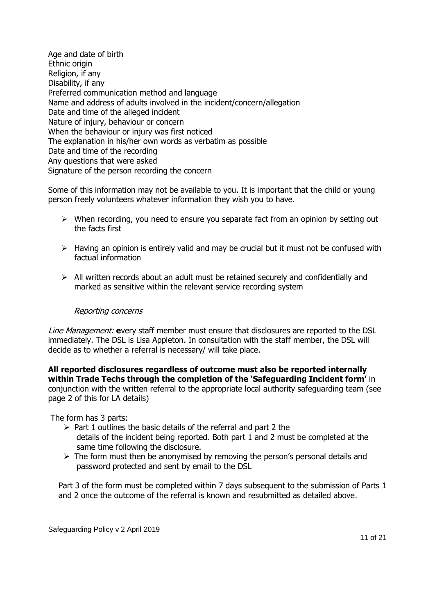Age and date of birth Ethnic origin Religion, if any Disability, if any Preferred communication method and language Name and address of adults involved in the incident/concern/allegation Date and time of the alleged incident Nature of injury, behaviour or concern When the behaviour or injury was first noticed The explanation in his/her own words as verbatim as possible Date and time of the recording Any questions that were asked Signature of the person recording the concern

Some of this information may not be available to you. It is important that the child or young person freely volunteers whatever information they wish you to have.

- $\triangleright$  When recording, you need to ensure you separate fact from an opinion by setting out the facts first
- $\triangleright$  Having an opinion is entirely valid and may be crucial but it must not be confused with factual information
- $\triangleright$  All written records about an adult must be retained securely and confidentially and marked as sensitive within the relevant service recording system

## Reporting concerns

Line Management: **e**very staff member must ensure that disclosures are reported to the DSL immediately. The DSL is Lisa Appleton. In consultation with the staff member, the DSL will decide as to whether a referral is necessary/ will take place.

**All reported disclosures regardless of outcome must also be reported internally within Trade Techs through the completion of the 'Safeguarding Incident form'** in conjunction with the written referral to the appropriate local authority safeguarding team (see page 2 of this for LA details)

The form has 3 parts:

- $\triangleright$  Part 1 outlines the basic details of the referral and part 2 the details of the incident being reported. Both part 1 and 2 must be completed at the same time following the disclosure.
- $\triangleright$  The form must then be anonymised by removing the person's personal details and password protected and sent by email to the DSL

Part 3 of the form must be completed within 7 days subsequent to the submission of Parts 1 and 2 once the outcome of the referral is known and resubmitted as detailed above.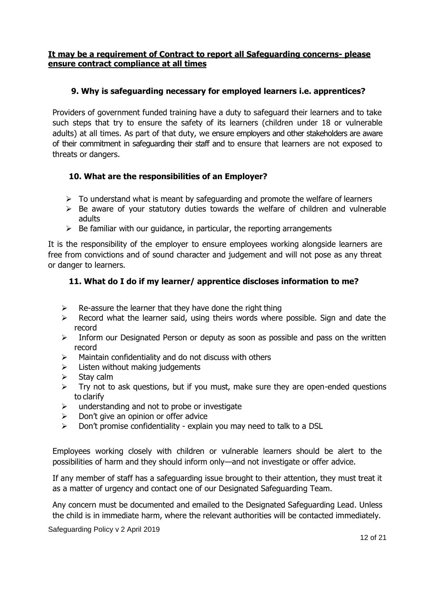# **It may be a requirement of Contract to report all Safeguarding concerns- please ensure contract compliance at all times**

# **9. Why is safeguarding necessary for employed learners i.e. apprentices?**

Providers of government funded training have a duty to safeguard their learners and to take such steps that try to ensure the safety of its learners (children under 18 or vulnerable adults) at all times. As part of that duty, we ensure employers and other stakeholders are aware of their commitment in safeguarding their staff and to ensure that learners are not exposed to threats or dangers.

# **10. What are the responsibilities of an Employer?**

- $\triangleright$  To understand what is meant by safeguarding and promote the welfare of learners
- $\triangleright$  Be aware of your statutory duties towards the welfare of children and vulnerable adults
- $\triangleright$  Be familiar with our quidance, in particular, the reporting arrangements

It is the responsibility of the employer to ensure employees working alongside learners are free from convictions and of sound character and judgement and will not pose as any threat or danger to learners.

# **11. What do I do if my learner/ apprentice discloses information to me?**

- $\triangleright$  Re-assure the learner that they have done the right thing
- $\triangleright$  Record what the learner said, using theirs words where possible. Sign and date the record
- $\triangleright$  Inform our Designated Person or deputy as soon as possible and pass on the written record
- $\triangleright$  Maintain confidentiality and do not discuss with others
- $\triangleright$  Listen without making judgements
- Stay calm
- $\triangleright$  Try not to ask questions, but if you must, make sure they are open-ended questions to clarify
- $\triangleright$  understanding and not to probe or investigate
- $\triangleright$  Don't give an opinion or offer advice
- $\triangleright$  Don't promise confidentiality explain you may need to talk to a DSL

Employees working closely with children or vulnerable learners should be alert to the possibilities of harm and they should inform only—and not investigate or offer advice.

If any member of staff has a safeguarding issue brought to their attention, they must treat it as a matter of urgency and contact one of our Designated Safeguarding Team.

Any concern must be documented and emailed to the Designated Safeguarding Lead. Unless the child is in immediate harm, where the relevant authorities will be contacted immediately.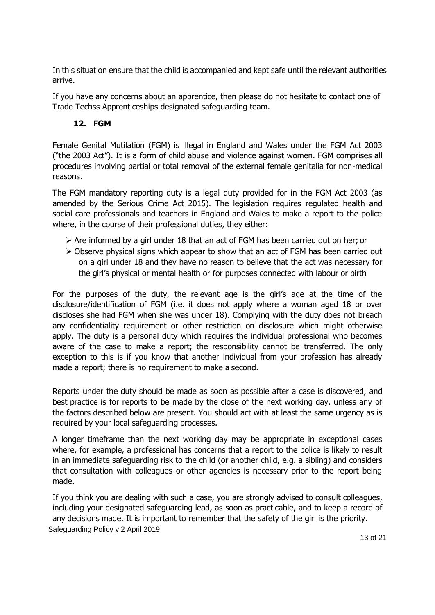In this situation ensure that the child is accompanied and kept safe until the relevant authorities arrive.

If you have any concerns about an apprentice, then please do not hesitate to contact one of Trade Techss Apprenticeships designated safeguarding team.

# **12. FGM**

Female Genital Mutilation (FGM) is illegal in England and Wales under the FGM Act 2003 ("the 2003 Act"). It is a form of child abuse and violence against women. FGM comprises all procedures involving partial or total removal of the external female genitalia for non-medical reasons.

The FGM mandatory reporting duty is a legal duty provided for in the FGM Act 2003 (as amended by the Serious Crime Act 2015). The legislation requires regulated health and social care professionals and teachers in England and Wales to make a report to the police where, in the course of their professional duties, they either:

- ➢ Are informed by a girl under 18 that an act of FGM has been carried out on her; or
- ➢ Observe physical signs which appear to show that an act of FGM has been carried out on a girl under 18 and they have no reason to believe that the act was necessary for the girl's physical or mental health or for purposes connected with labour or birth

For the purposes of the duty, the relevant age is the girl's age at the time of the disclosure/identification of FGM (i.e. it does not apply where a woman aged 18 or over discloses she had FGM when she was under 18). Complying with the duty does not breach any confidentiality requirement or other restriction on disclosure which might otherwise apply. The duty is a personal duty which requires the individual professional who becomes aware of the case to make a report; the responsibility cannot be transferred. The only exception to this is if you know that another individual from your profession has already made a report; there is no requirement to make a second.

Reports under the duty should be made as soon as possible after a case is discovered, and best practice is for reports to be made by the close of the next working day, unless any of the factors described below are present. You should act with at least the same urgency as is required by your local safeguarding processes.

A longer timeframe than the next working day may be appropriate in exceptional cases where, for example, a professional has concerns that a report to the police is likely to result in an immediate safeguarding risk to the child (or another child, e.g. a sibling) and considers that consultation with colleagues or other agencies is necessary prior to the report being made.

Safeguarding Policy v 2 April 2019 If you think you are dealing with such a case, you are strongly advised to consult colleagues, including your designated safeguarding lead, as soon as practicable, and to keep a record of any decisions made. It is important to remember that the safety of the girl is the priority.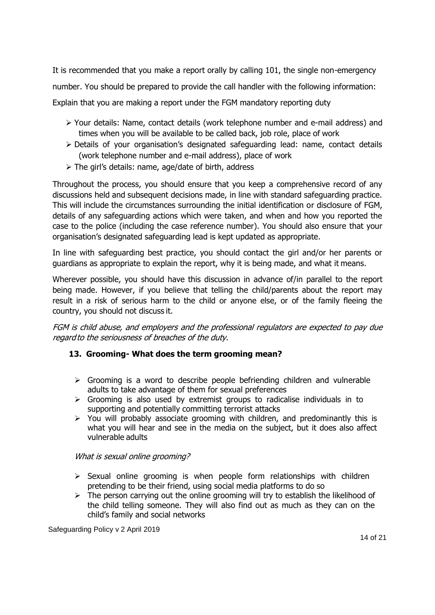It is recommended that you make a report orally by calling 101, the single non-emergency

number. You should be prepared to provide the call handler with the following information:

Explain that you are making a report under the FGM mandatory reporting duty

- ➢ Your details: Name, contact details (work telephone number and e-mail address) and times when you will be available to be called back, job role, place of work
- ➢ Details of your organisation's designated safeguarding lead: name, contact details (work telephone number and e-mail address), place of work
- ➢ The girl's details: name, age/date of birth, address

Throughout the process, you should ensure that you keep a comprehensive record of any discussions held and subsequent decisions made, in line with standard safeguarding practice. This will include the circumstances surrounding the initial identification or disclosure of FGM, details of any safeguarding actions which were taken, and when and how you reported the case to the police (including the case reference number). You should also ensure that your organisation's designated safeguarding lead is kept updated as appropriate.

In line with safeguarding best practice, you should contact the girl and/or her parents or guardians as appropriate to explain the report, why it is being made, and what it means.

Wherever possible, you should have this discussion in advance of/in parallel to the report being made. However, if you believe that telling the child/parents about the report may result in a risk of serious harm to the child or anyone else, or of the family fleeing the country, you should not discuss it.

FGM is child abuse, and employers and the professional regulators are expected to pay due regard to the seriousness of breaches of the duty.

# **13. Grooming- What does the term grooming mean?**

- $\triangleright$  Grooming is a word to describe people befriending children and vulnerable adults to take advantage of them for sexual preferences
- $\triangleright$  Grooming is also used by extremist groups to radicalise individuals in to supporting and potentially committing terrorist attacks
- $\triangleright$  You will probably associate grooming with children, and predominantly this is what you will hear and see in the media on the subject, but it does also affect vulnerable adults

# What is sexual online grooming?

- $\triangleright$  Sexual online grooming is when people form relationships with children pretending to be their friend, using social media platforms to do so
- $\triangleright$  The person carrying out the online grooming will try to establish the likelihood of the child telling someone. They will also find out as much as they can on the child's family and social networks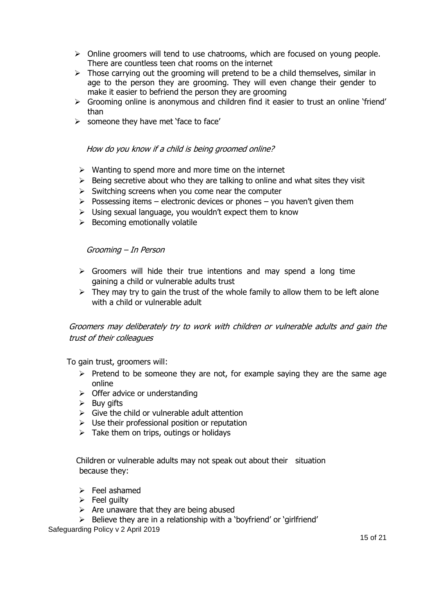- ➢ Online groomers will tend to use chatrooms, which are focused on young people. There are countless teen chat rooms on the internet
- $\triangleright$  Those carrying out the grooming will pretend to be a child themselves, similar in age to the person they are grooming. They will even change their gender to make it easier to befriend the person they are grooming
- ➢ Grooming online is anonymous and children find it easier to trust an online 'friend' than
- ➢ someone they have met 'face to face'

#### How do you know if a child is being groomed online?

- $\triangleright$  Wanting to spend more and more time on the internet
- $\triangleright$  Being secretive about who they are talking to online and what sites they visit
- $\triangleright$  Switching screens when you come near the computer
- $\triangleright$  Possessing items electronic devices or phones you haven't given them
- ➢ Using sexual language, you wouldn't expect them to know
- $\triangleright$  Becoming emotionally volatile

#### Grooming – In Person

- $\triangleright$  Groomers will hide their true intentions and may spend a long time gaining a child or vulnerable adults trust
- $\triangleright$  They may try to gain the trust of the whole family to allow them to be left alone with a child or vulnerable adult

# Groomers may deliberately try to work with children or vulnerable adults and gain the trust of their colleagues

To gain trust, groomers will:

- $\triangleright$  Pretend to be someone they are not, for example saying they are the same age online
- $\triangleright$  Offer advice or understanding
- $\triangleright$  Buy gifts
- $\triangleright$  Give the child or vulnerable adult attention
- $\triangleright$  Use their professional position or reputation
- $\triangleright$  Take them on trips, outings or holidays

Children or vulnerable adults may not speak out about their situation because they:

- ➢ Feel ashamed
- $\triangleright$  Feel quilty
- $\triangleright$  Are unaware that they are being abused
- $\triangleright$  Believe they are in a relationship with a 'bovfriend' or 'girlfriend'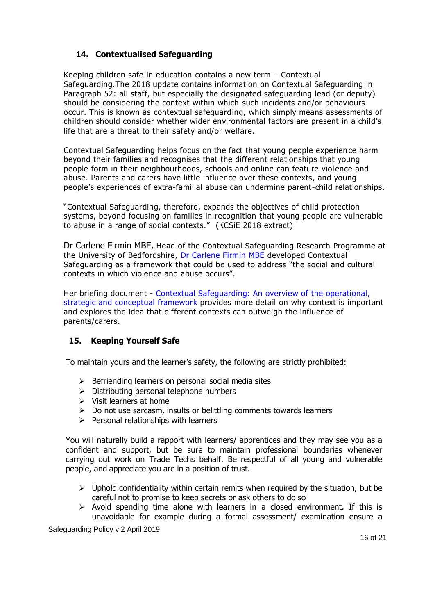# **14. Contextualised Safeguarding**

Keeping children safe in education contains a new term – Contextual Safeguarding.The 2018 update contains information on Contextual Safeguarding in Paragraph 52: [all staff, but especially the designated safeguarding lead \(or deputy\)](https://assets.publishing.service.gov.uk/government/uploads/system/uploads/attachment_data/file/707761/Keeping_Children_Safe_in_Education_-_September_2018.pdf)  [should be considering the context within which such incidents](https://assets.publishing.service.gov.uk/government/uploads/system/uploads/attachment_data/file/707761/Keeping_Children_Safe_in_Education_-_September_2018.pdf) and/or behaviours [occur. This is known as contextual safeguarding, which simply means assessments of](https://assets.publishing.service.gov.uk/government/uploads/system/uploads/attachment_data/file/707761/Keeping_Children_Safe_in_Education_-_September_2018.pdf)  children should consid[er whether wider environmental factors are present in a child's](https://assets.publishing.service.gov.uk/government/uploads/system/uploads/attachment_data/file/707761/Keeping_Children_Safe_in_Education_-_September_2018.pdf)  [life that are a threat to their safety and/or welfare.](https://assets.publishing.service.gov.uk/government/uploads/system/uploads/attachment_data/file/707761/Keeping_Children_Safe_in_Education_-_September_2018.pdf)

Contextual Safeguarding helps focus on the fact that young people experien ce harm beyond their families and recognises that the different relationships that young people form in their neighbourhoods, schools and online can feature violence and abuse. Parents and carers have little influence over these contexts, and young people's experiences of extra-familial abuse can undermine parent-child relationships.

["Contextual Safeguarding, therefore, expands the objectives of child p](https://contextualsafeguarding.org.uk/about/what-is-contextual-safeguarding)rotection [systems, beyond focusing on families in recognition](https://contextualsafeguarding.org.uk/about/what-is-contextual-safeguarding) that young people are vulnerable [to abuse in a range of social contexts."](https://contextualsafeguarding.org.uk/about/what-is-contextual-safeguarding) (KCSiE 2018 extract)

Dr Carlene Firmin MBE, Head of the Contextual Safeguarding Research Programme at the University of Bedfordshire, [Dr Carlene Firmin MBE](https://www.educare.co.uk/news/circles-of-excellence-dr-carlene-firmin-mbe) developed Contextual Safeguarding as a framework that could be used to address "the social and cultural contexts in which violence and abuse occurs".

Her briefing document - [Contextual Safeguarding: An overview of the operational,](https://contextualsafeguarding.org.uk/assets/documents/Contextual-Safeguarding-Briefing.pdf)  [strategic and conceptual framework](https://contextualsafeguarding.org.uk/assets/documents/Contextual-Safeguarding-Briefing.pdf) provides more detail on why context is important and explores the idea that different contexts can outweigh the influence of parents/carers.

# **15. Keeping Yourself Safe**

To maintain yours and the learner's safety, the following are strictly prohibited:

- ➢ Befriending learners on personal social media sites
- ➢ Distributing personal telephone numbers
- ➢ Visit learners at home
- $\triangleright$  Do not use sarcasm, insults or belittling comments towards learners
- $\triangleright$  Personal relationships with learners

You will naturally build a rapport with learners/ apprentices and they may see you as a confident and support, but be sure to maintain professional boundaries whenever carrying out work on Trade Techs behalf. Be respectful of all young and vulnerable people, and appreciate you are in a position of trust.

- $\triangleright$  Uphold confidentiality within certain remits when required by the situation, but be careful not to promise to keep secrets or ask others to do so
- $\triangleright$  Avoid spending time alone with learners in a closed environment. If this is unavoidable for example during a formal assessment/ examination ensure a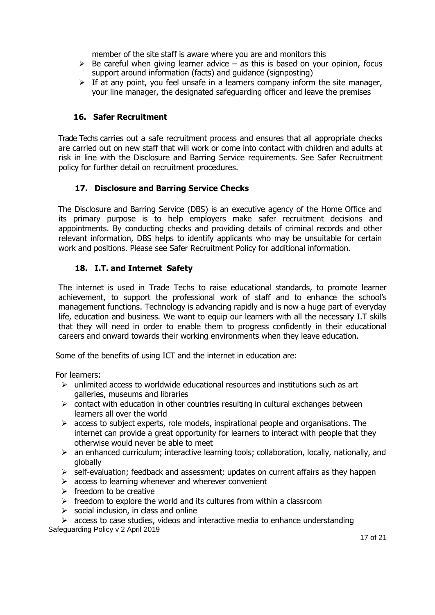member of the site staff is aware where you are and monitors this

- $\triangleright$  Be careful when giving learner advice as this is based on your opinion, focus support around information (facts) and guidance (signposting)
- $\triangleright$  If at any point, you feel unsafe in a learners company inform the site manager, your line manager, the designated safeguarding officer and leave the premises

# **16. Safer Recruitment**

 Trade Techs carries out a safe recruitment process and ensures that all appropriate checks are carried out on new staff that will work or come into contact with children and adults at risk in line with the Disclosure and Barring Service requirements. See Safer Recruitment policy for further detail on recruitment procedures.

# **17. Disclosure and Barring Service Checks**

 The Disclosure and Barring Service (DBS) is an executive agency of the Home Office and its primary purpose is to help employers make safer recruitment decisions and appointments. By conducting checks and providing details of criminal records and other relevant information, DBS helps to identify applicants who may be unsuitable for certain work and positions. Please see Safer Recruitment Policy for additional information.

# **18. I.T. and Internet Safety**

The internet is used in Trade Techs to raise educational standards, to promote learner achievement, to support the professional work of staff and to enhance the school's management functions. Technology is advancing rapidly and is now a huge part of everyday life, education and business. We want to equip our learners with all the necessary I.T skills that they will need in order to enable them to progress confidently in their educational careers and onward towards their working environments when they leave education.

Some of the benefits of using ICT and the internet in education are:

For learners:

- $\triangleright$  unlimited access to worldwide educational resources and institutions such as art galleries, museums and libraries
- $\triangleright$  contact with education in other countries resulting in cultural exchanges between learners all over the world
- $\triangleright$  access to subject experts, role models, inspirational people and organisations. The internet can provide a great opportunity for learners to interact with people that they otherwise would never be able to meet
- $\triangleright$  an enhanced curriculum; interactive learning tools; collaboration, locally, nationally, and globally
- ➢ self-evaluation; feedback and assessment; updates on current affairs as they happen
- $\triangleright$  access to learning whenever and wherever convenient
- $\triangleright$  freedom to be creative
- $\triangleright$  freedom to explore the world and its cultures from within a classroom
- $\triangleright$  social inclusion, in class and online

Safeguarding Policy v 2 April 2019 ➢ access to case studies, videos and interactive media to enhance understanding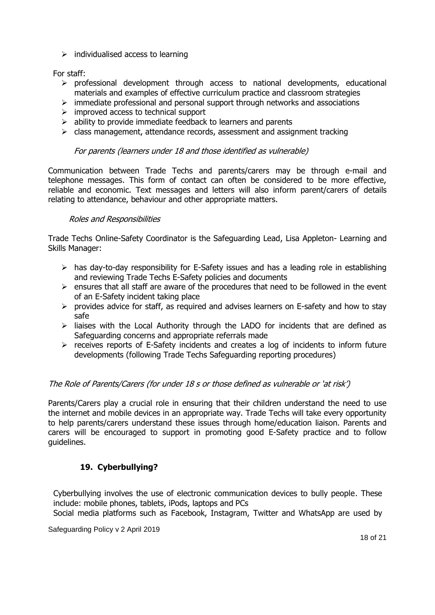$\triangleright$  individualised access to learning

For staff:

- ➢ professional development through access to national developments, educational materials and examples of effective curriculum practice and classroom strategies
- $\triangleright$  immediate professional and personal support through networks and associations
- $\triangleright$  improved access to technical support
- $\triangleright$  ability to provide immediate feedback to learners and parents
- $\triangleright$  class management, attendance records, assessment and assignment tracking

## For parents (learners under 18 and those identified as vulnerable)

Communication between Trade Techs and parents/carers may be through e-mail and telephone messages. This form of contact can often be considered to be more effective, reliable and economic. Text messages and letters will also inform parent/carers of details relating to attendance, behaviour and other appropriate matters.

#### Roles and Responsibilities

Trade Techs Online-Safety Coordinator is the Safeguarding Lead, Lisa Appleton- Learning and Skills Manager:

- $\triangleright$  has day-to-day responsibility for E-Safety issues and has a leading role in establishing and reviewing Trade Techs E-Safety policies and documents
- $\triangleright$  ensures that all staff are aware of the procedures that need to be followed in the event of an E-Safety incident taking place
- ➢ provides advice for staff, as required and advises learners on E-safety and how to stay safe
- $\triangleright$  liaises with the Local Authority through the LADO for incidents that are defined as Safeguarding concerns and appropriate referrals made
- ➢ receives reports of E-Safety incidents and creates a log of incidents to inform future developments (following Trade Techs Safeguarding reporting procedures)

## The Role of Parents/Carers (for under 18 s or those defined as vulnerable or 'at risk')

Parents/Carers play a crucial role in ensuring that their children understand the need to use the internet and mobile devices in an appropriate way. Trade Techs will take every opportunity to help parents/carers understand these issues through home/education liaison. Parents and carers will be encouraged to support in promoting good E-Safety practice and to follow guidelines.

# **19. Cyberbullying?**

Cyberbullying involves the use of electronic communication devices to bully people. These include: mobile phones, tablets, iPods, laptops and PCs

Social media platforms such as Facebook, Instagram, Twitter and WhatsApp are used by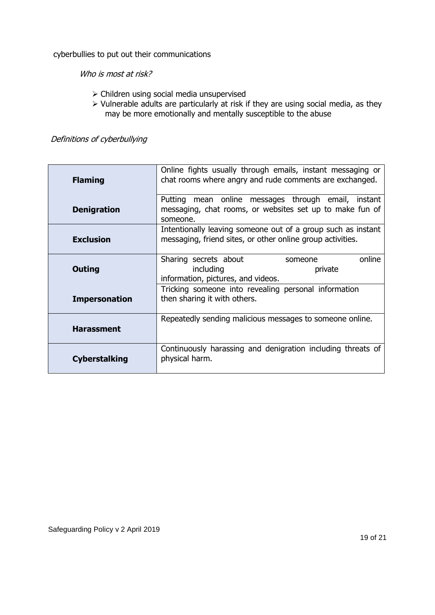cyberbullies to put out their communications

Who is most at risk?

- ➢ Children using social media unsupervised
- ➢ Vulnerable adults are particularly at risk if they are using social media, as they may be more emotionally and mentally susceptible to the abuse

Definitions of cyberbullying

| <b>Flaming</b>       | Online fights usually through emails, instant messaging or<br>chat rooms where angry and rude comments are exchanged.       |
|----------------------|-----------------------------------------------------------------------------------------------------------------------------|
| <b>Denigration</b>   | Putting mean online messages through email, instant<br>messaging, chat rooms, or websites set up to make fun of<br>someone. |
| <b>Exclusion</b>     | Intentionally leaving someone out of a group such as instant<br>messaging, friend sites, or other online group activities.  |
| <b>Outing</b>        | online<br>Sharing secrets about<br>someone<br>including<br>private<br>information, pictures, and videos.                    |
| <b>Impersonation</b> | Tricking someone into revealing personal information<br>then sharing it with others.                                        |
| <b>Harassment</b>    | Repeatedly sending malicious messages to someone online.                                                                    |
| <b>Cyberstalking</b> | Continuously harassing and denigration including threats of<br>physical harm.                                               |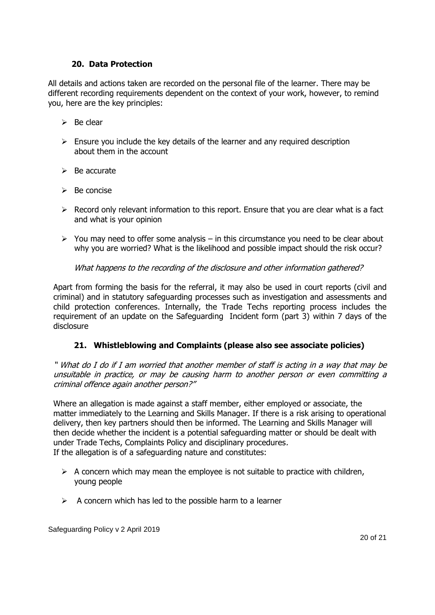## **20. Data Protection**

All details and actions taken are recorded on the personal file of the learner. There may be different recording requirements dependent on the context of your work, however, to remind you, here are the key principles:

- $\triangleright$  Be clear
- $\triangleright$  Ensure you include the key details of the learner and any required description about them in the account
- ➢ Be accurate
- $\triangleright$  Be concise
- $\triangleright$  Record only relevant information to this report. Ensure that you are clear what is a fact and what is your opinion
- $\triangleright$  You may need to offer some analysis in this circumstance you need to be clear about why you are worried? What is the likelihood and possible impact should the risk occur?

What happens to the recording of the disclosure and other information gathered?

Apart from forming the basis for the referral, it may also be used in court reports (civil and criminal) and in statutory safeguarding processes such as investigation and assessments and child protection conferences. Internally, the Trade Techs reporting process includes the requirement of an update on the Safeguarding Incident form (part 3) within 7 days of the disclosure

# **21. Whistleblowing and Complaints (please also see associate policies)**

" What do I do if I am worried that another member of staff is acting in a way that may be unsuitable in practice, or may be causing harm to another person or even committing a criminal offence again another person?"

Where an allegation is made against a staff member, either employed or associate, the matter immediately to the Learning and Skills Manager. If there is a risk arising to operational delivery, then key partners should then be informed. The Learning and Skills Manager will then decide whether the incident is a potential safeguarding matter or should be dealt with under Trade Techs, Complaints Policy and disciplinary procedures. If the allegation is of a safeguarding nature and constitutes:

- $\triangleright$  A concern which may mean the employee is not suitable to practice with children, young people
- $\triangleright$  A concern which has led to the possible harm to a learner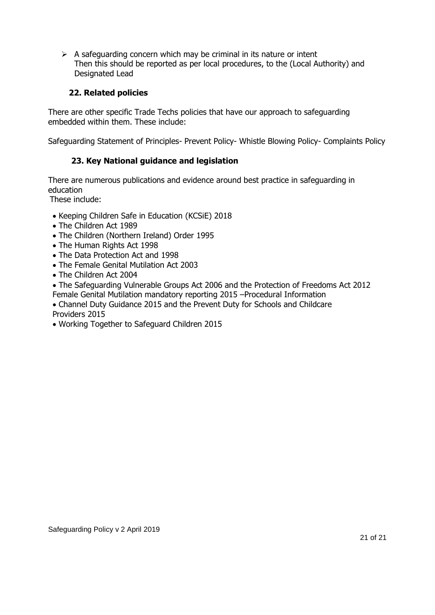$\triangleright$  A safeguarding concern which may be criminal in its nature or intent Then this should be reported as per local procedures, to the (Local Authority) and Designated Lead

# **22. Related policies**

There are other specific Trade Techs policies that have our approach to safeguarding embedded within them. These include:

Safeguarding Statement of Principles- Prevent Policy- Whistle Blowing Policy- Complaints Policy

# **23. Key National guidance and legislation**

There are numerous publications and evidence around best practice in safeguarding in education

These include:

- Keeping Children Safe in Education (KCSiE) 2018
- The Children Act 1989
- The Children (Northern Ireland) Order 1995
- The Human Rights Act 1998
- The Data Protection Act and 1998
- The Female Genital Mutilation Act 2003
- The Children Act 2004
- The Safeguarding Vulnerable Groups Act 2006 and the Protection of Freedoms Act 2012 Female Genital Mutilation mandatory reporting 2015 –Procedural Information
- Channel Duty Guidance 2015 and the Prevent Duty for Schools and Childcare Providers 2015
- Working Together to Safeguard Children 2015